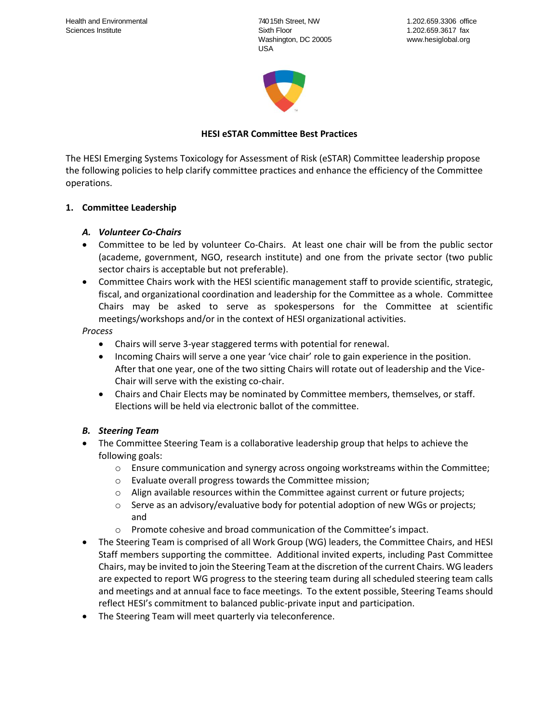740 15th Street, NW Sixth Floor Washington, DC 20005 USA



# **HESI eSTAR Committee Best Practices**

The HESI Emerging Systems Toxicology for Assessment of Risk (eSTAR) Committee leadership propose the following policies to help clarify committee practices and enhance the efficiency of the Committee operations.

#### **1. Committee Leadership**

### *A. Volunteer Co-Chairs*

- Committee to be led by volunteer Co-Chairs. At least one chair will be from the public sector (academe, government, NGO, research institute) and one from the private sector (two public sector chairs is acceptable but not preferable).
- Committee Chairs work with the HESI scientific management staff to provide scientific, strategic, fiscal, and organizational coordination and leadership for the Committee as a whole. Committee Chairs may be asked to serve as spokespersons for the Committee at scientific meetings/workshops and/or in the context of HESI organizational activities.

#### *Process*

- Chairs will serve 3-year staggered terms with potential for renewal.
- Incoming Chairs will serve a one year 'vice chair' role to gain experience in the position. After that one year, one of the two sitting Chairs will rotate out of leadership and the Vice-Chair will serve with the existing co-chair.
- Chairs and Chair Elects may be nominated by Committee members, themselves, or staff. Elections will be held via electronic ballot of the committee.

# *B. Steering Team*

- The Committee Steering Team is a collaborative leadership group that helps to achieve the following goals:
	- o Ensure communication and synergy across ongoing workstreams within the Committee;
	- o Evaluate overall progress towards the Committee mission;
	- $\circ$  Align available resources within the Committee against current or future projects;
	- $\circ$  Serve as an advisory/evaluative body for potential adoption of new WGs or projects; and
	- $\circ$  Promote cohesive and broad communication of the Committee's impact.
- The Steering Team is comprised of all Work Group (WG) leaders, the Committee Chairs, and HESI Staff members supporting the committee. Additional invited experts, including Past Committee Chairs, may be invited to join the Steering Team at the discretion of the current Chairs. WG leaders are expected to report WG progress to the steering team during all scheduled steering team calls and meetings and at annual face to face meetings. To the extent possible, Steering Teams should reflect HESI's commitment to balanced public-private input and participation.
- The Steering Team will meet quarterly via teleconference.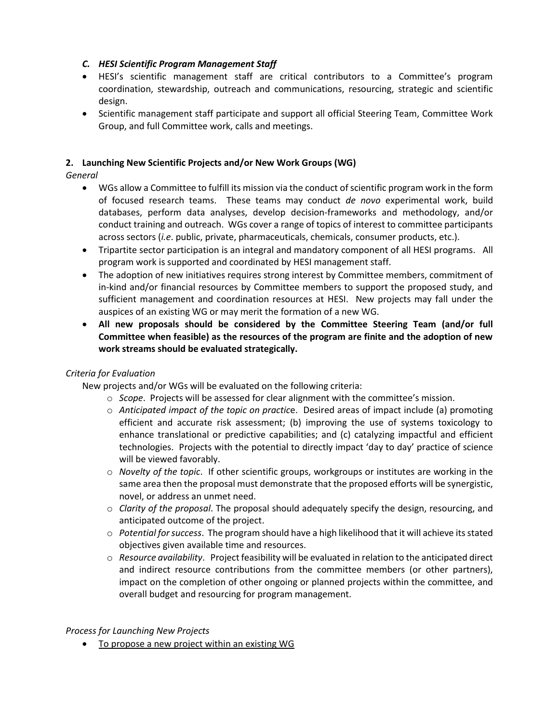### *C. HESI Scientific Program Management Staff*

- HESI's scientific management staff are critical contributors to a Committee's program coordination, stewardship, outreach and communications, resourcing, strategic and scientific design.
- Scientific management staff participate and support all official Steering Team, Committee Work Group, and full Committee work, calls and meetings.

### **2. Launching New Scientific Projects and/or New Work Groups (WG)**

*General*

- WGs allow a Committee to fulfill its mission via the conduct of scientific program work in the form of focused research teams. These teams may conduct *de novo* experimental work, build databases, perform data analyses, develop decision-frameworks and methodology, and/or conduct training and outreach. WGs cover a range of topics of interest to committee participants across sectors (*i.e*. public, private, pharmaceuticals, chemicals, consumer products, etc.).
- Tripartite sector participation is an integral and mandatory component of all HESI programs. All program work is supported and coordinated by HESI management staff.
- The adoption of new initiatives requires strong interest by Committee members, commitment of in-kind and/or financial resources by Committee members to support the proposed study, and sufficient management and coordination resources at HESI. New projects may fall under the auspices of an existing WG or may merit the formation of a new WG.
- **All new proposals should be considered by the Committee Steering Team (and/or full Committee when feasible) as the resources of the program are finite and the adoption of new work streams should be evaluated strategically.**

#### *Criteria for Evaluation*

New projects and/or WGs will be evaluated on the following criteria:

- o *Scope*. Projects will be assessed for clear alignment with the committee's mission.
- o *Anticipated impact of the topic on practic*e. Desired areas of impact include (a) promoting efficient and accurate risk assessment; (b) improving the use of systems toxicology to enhance translational or predictive capabilities; and (c) catalyzing impactful and efficient technologies. Projects with the potential to directly impact 'day to day' practice of science will be viewed favorably.
- o *Novelty of the topic*. If other scientific groups, workgroups or institutes are working in the same area then the proposal must demonstrate that the proposed efforts will be synergistic, novel, or address an unmet need.
- o *Clarity of the proposal*. The proposal should adequately specify the design, resourcing, and anticipated outcome of the project.
- o *Potential for success*. The program should have a high likelihood that it will achieve its stated objectives given available time and resources.
- o *Resource availability*. Project feasibility will be evaluated in relation to the anticipated direct and indirect resource contributions from the committee members (or other partners), impact on the completion of other ongoing or planned projects within the committee, and overall budget and resourcing for program management.

#### *Process for Launching New Projects*

• To propose a new project within an existing WG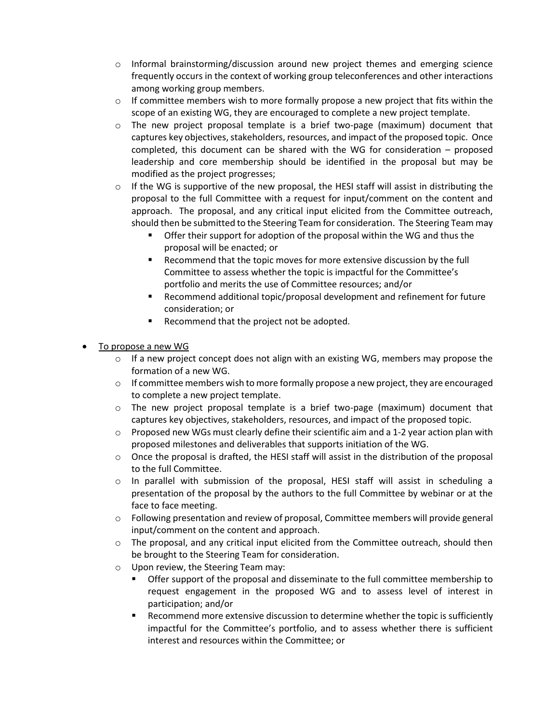- $\circ$  Informal brainstorming/discussion around new project themes and emerging science frequently occurs in the context of working group teleconferences and other interactions among working group members.
- $\circ$  If committee members wish to more formally propose a new project that fits within the scope of an existing WG, they are encouraged to complete a new project template.
- $\circ$  The new project proposal template is a brief two-page (maximum) document that captures key objectives, stakeholders, resources, and impact of the proposed topic. Once completed, this document can be shared with the WG for consideration – proposed leadership and core membership should be identified in the proposal but may be modified as the project progresses;
- $\circ$  If the WG is supportive of the new proposal, the HESI staff will assist in distributing the proposal to the full Committee with a request for input/comment on the content and approach. The proposal, and any critical input elicited from the Committee outreach, should then be submitted to the Steering Team for consideration. The Steering Team may
	- Offer their support for adoption of the proposal within the WG and thus the proposal will be enacted; or
	- Recommend that the topic moves for more extensive discussion by the full Committee to assess whether the topic is impactful for the Committee's portfolio and merits the use of Committee resources; and/or
	- Recommend additional topic/proposal development and refinement for future consideration; or
	- Recommend that the project not be adopted.
- To propose a new WG
	- $\circ$  If a new project concept does not align with an existing WG, members may propose the formation of a new WG.
	- $\circ$  If committee members wish to more formally propose a new project, they are encouraged to complete a new project template.
	- $\circ$  The new project proposal template is a brief two-page (maximum) document that captures key objectives, stakeholders, resources, and impact of the proposed topic.
	- $\circ$  Proposed new WGs must clearly define their scientific aim and a 1-2 year action plan with proposed milestones and deliverables that supports initiation of the WG.
	- $\circ$  Once the proposal is drafted, the HESI staff will assist in the distribution of the proposal to the full Committee.
	- $\circ$  In parallel with submission of the proposal, HESI staff will assist in scheduling a presentation of the proposal by the authors to the full Committee by webinar or at the face to face meeting.
	- $\circ$  Following presentation and review of proposal, Committee members will provide general input/comment on the content and approach.
	- $\circ$  The proposal, and any critical input elicited from the Committee outreach, should then be brought to the Steering Team for consideration.
	- o Upon review, the Steering Team may:
		- **•** Offer support of the proposal and disseminate to the full committee membership to request engagement in the proposed WG and to assess level of interest in participation; and/or
		- Recommend more extensive discussion to determine whether the topic is sufficiently impactful for the Committee's portfolio, and to assess whether there is sufficient interest and resources within the Committee; or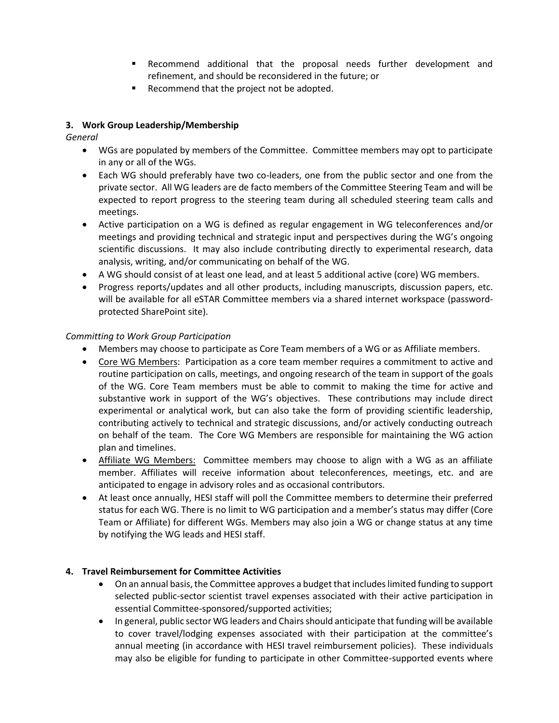- Recommend additional that the proposal needs further development and refinement, and should be reconsidered in the future; or
- Recommend that the project not be adopted.

# **3. Work Group Leadership/Membership**

*General*

- WGs are populated by members of the Committee. Committee members may opt to participate in any or all of the WGs.
- Each WG should preferably have two co-leaders, one from the public sector and one from the private sector. All WG leaders are de facto members of the Committee Steering Team and will be expected to report progress to the steering team during all scheduled steering team calls and meetings.
- Active participation on a WG is defined as regular engagement in WG teleconferences and/or meetings and providing technical and strategic input and perspectives during the WG's ongoing scientific discussions. It may also include contributing directly to experimental research, data analysis, writing, and/or communicating on behalf of the WG.
- A WG should consist of at least one lead, and at least 5 additional active (core) WG members.
- Progress reports/updates and all other products, including manuscripts, discussion papers, etc. will be available for all eSTAR Committee members via a shared internet workspace (passwordprotected SharePoint site).

### *Committing to Work Group Participation*

- Members may choose to participate as Core Team members of a WG or as Affiliate members.
- Core WG Members: Participation as a core team member requires a commitment to active and routine participation on calls, meetings, and ongoing research of the team in support of the goals of the WG. Core Team members must be able to commit to making the time for active and substantive work in support of the WG's objectives. These contributions may include direct experimental or analytical work, but can also take the form of providing scientific leadership, contributing actively to technical and strategic discussions, and/or actively conducting outreach on behalf of the team. The Core WG Members are responsible for maintaining the WG action plan and timelines.
- Affiliate WG Members: Committee members may choose to align with a WG as an affiliate member. Affiliates will receive information about teleconferences, meetings, etc. and are anticipated to engage in advisory roles and as occasional contributors.
- At least once annually, HESI staff will poll the Committee members to determine their preferred status for each WG. There is no limit to WG participation and a member's status may differ (Core Team or Affiliate) for different WGs. Members may also join a WG or change status at any time by notifying the WG leads and HESI staff.

# **4. Travel Reimbursement for Committee Activities**

- On an annual basis, the Committee approves a budget that includes limited funding to support selected public-sector scientist travel expenses associated with their active participation in essential Committee-sponsored/supported activities;
- In general, public sector WG leaders and Chairs should anticipate that funding will be available to cover travel/lodging expenses associated with their participation at the committee's annual meeting (in accordance with HESI travel reimbursement policies). These individuals may also be eligible for funding to participate in other Committee-supported events where